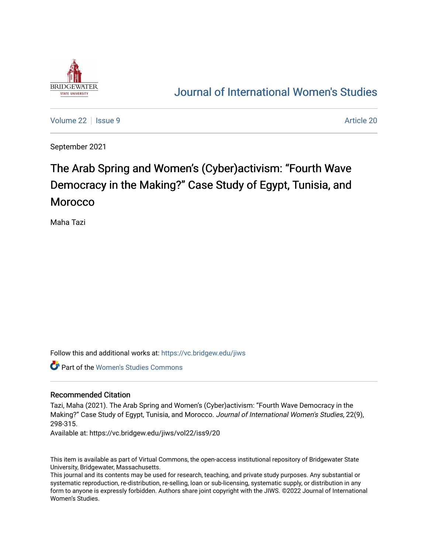

## [Journal of International Women's Studies](https://vc.bridgew.edu/jiws)

[Volume 22](https://vc.bridgew.edu/jiws/vol22) | [Issue 9](https://vc.bridgew.edu/jiws/vol22/iss9) Article 20

September 2021

# The Arab Spring and Women's (Cyber)activism: "Fourth Wave Democracy in the Making?" Case Study of Egypt, Tunisia, and **Morocco**

Maha Tazi

Follow this and additional works at: [https://vc.bridgew.edu/jiws](https://vc.bridgew.edu/jiws?utm_source=vc.bridgew.edu%2Fjiws%2Fvol22%2Fiss9%2F20&utm_medium=PDF&utm_campaign=PDFCoverPages)

Part of the [Women's Studies Commons](http://network.bepress.com/hgg/discipline/561?utm_source=vc.bridgew.edu%2Fjiws%2Fvol22%2Fiss9%2F20&utm_medium=PDF&utm_campaign=PDFCoverPages) 

#### Recommended Citation

Tazi, Maha (2021). The Arab Spring and Women's (Cyber)activism: "Fourth Wave Democracy in the Making?" Case Study of Egypt, Tunisia, and Morocco. Journal of International Women's Studies, 22(9), 298-315.

Available at: https://vc.bridgew.edu/jiws/vol22/iss9/20

This item is available as part of Virtual Commons, the open-access institutional repository of Bridgewater State University, Bridgewater, Massachusetts.

This journal and its contents may be used for research, teaching, and private study purposes. Any substantial or systematic reproduction, re-distribution, re-selling, loan or sub-licensing, systematic supply, or distribution in any form to anyone is expressly forbidden. Authors share joint copyright with the JIWS. ©2022 Journal of International Women's Studies.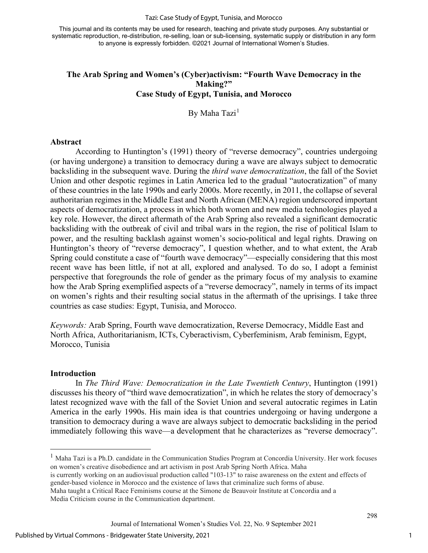#### Tazi: Case Study of Egypt, Tunisia, and Morocco

This journal and its contents may be used for research, teaching and private study purposes. Any substantial or systematic reproduction, re-distribution, re-selling, loan or sub-licensing, systematic supply or distribution in any form to anyone is expressly forbidden. ©2021 Journal of International Women's Studies.

#### **The Arab Spring and Women's (Cyber)activism: "Fourth Wave Democracy in the Making?" Case Study of Egypt, Tunisia, and Morocco**

By Maha Tazi<sup>[1](#page-1-0)</sup>

#### **Abstract**

According to Huntington's (1991) theory of "reverse democracy", countries undergoing (or having undergone) a transition to democracy during a wave are always subject to [democratic](https://en.wikipedia.org/wiki/Democratic_backsliding) [backsliding](https://en.wikipedia.org/wiki/Democratic_backsliding) in the subsequent wave. During the *third wave democratization*, the fall of the Soviet Union and other despotic regimes in Latin America led to the gradual "autocratization" of many of these countries in the late 1990s and early 2000s. More recently, in 2011, the collapse of several authoritarian regimes in the Middle East and North African (MENA) region underscored important aspects of democratization, a process in which both women and new media technologies played a key role. However, the direct aftermath of the Arab Spring also revealed a significant democratic backsliding with the outbreak of civil and tribal wars in the region, the rise of political Islam to power, and the resulting backlash against women's socio-political and legal rights. Drawing on Huntington's theory of "reverse democracy", I question whether, and to what extent, the Arab Spring could constitute a case of "fourth wave democracy"—especially considering that this most recent wave has been little, if not at all, explored and analysed. To do so, I adopt a feminist perspective that foregrounds the role of gender as the primary focus of my analysis to examine how the Arab Spring exemplified aspects of a "reverse democracy", namely in terms of its impact on women's rights and their resulting social status in the aftermath of the uprisings. I take three countries as case studies: Egypt, Tunisia, and Morocco.

*Keywords:* Arab Spring, Fourth wave democratization, Reverse Democracy, Middle East and North Africa, Authoritarianism, ICTs, Cyberactivism, Cyberfeminism, Arab feminism, Egypt, Morocco, Tunisia

#### **Introduction**

In *The Third Wave: Democratization in the Late Twentieth Century*, Huntington (1991) discusses his theory of "third wave democratization", in which he relates the story of democracy's latest recognized wave with the fall of the Soviet Union and several autocratic regimes in Latin America in the early 1990s. His main idea is that countries undergoing or having undergone a transition to democracy during a wave are always subject to [democratic backsliding](https://en.wikipedia.org/wiki/Democratic_backsliding) in the period immediately following this wave—a development that he characterizes as "reverse democracy".

1

<span id="page-1-0"></span><sup>&</sup>lt;sup>1</sup> Maha Tazi is a Ph.D. candidate in the Communication Studies Program at Concordia University. Her work focuses on women's creative disobedience and art activism in post Arab Spring North Africa. Maha

is currently working on an audiovisual production called "103-13" to raise awareness on the extent and effects of gender-based violence in Morocco and the existence of laws that criminalize such forms of abuse.

Maha taught a Critical Race Feminisms course at the Simone de Beauvoir Institute at Concordia and a Media Criticism course in the Communication department.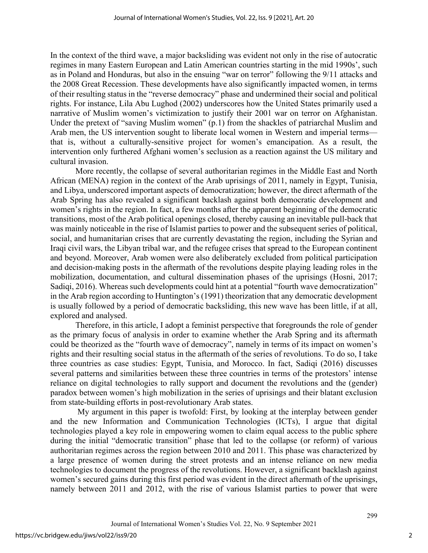In the context of the third wave, a major backsliding was evident not only in the rise of autocratic regimes in many Eastern European and Latin American countries starting in the mid 1990s', such as in Poland and Honduras, but also in the ensuing "war on terror" following the 9/11 attacks and the 2008 Great Recession. These developments have also significantly impacted women, in terms of their resulting status in the "reverse democracy" phase and undermined their social and political rights. For instance, Lila Abu Lughod (2002) underscores how the United States primarily used a narrative of Muslim women's victimization to justify their 2001 war on terror on Afghanistan. Under the pretext of "saving Muslim women" (p.1) from the shackles of patriarchal Muslim and Arab men, the US intervention sought to liberate local women in Western and imperial terms that is, without a culturally-sensitive project for women's emancipation. As a result, the intervention only furthered Afghani women's seclusion as a reaction against the US military and cultural invasion.

More recently, the collapse of several authoritarian regimes in the Middle East and North African (MENA) region in the context of the Arab uprisings of 2011, namely in Egypt, Tunisia, and Libya, underscored important aspects of democratization; however, the direct aftermath of the Arab Spring has also revealed a significant backlash against both democratic development and women's rights in the region. In fact, a few months after the apparent beginning of the democratic transitions, most of the Arab political openings closed, thereby causing an inevitable pull-back that was mainly noticeable in the rise of Islamist parties to power and the subsequent series of political, social, and humanitarian crises that are currently devastating the region, including the Syrian and Iraqi civil wars, the Libyan tribal war, and the refugee crises that spread to the European continent and beyond. Moreover, Arab women were also deliberately excluded from political participation and decision-making posts in the aftermath of the revolutions despite playing leading roles in the mobilization, documentation, and cultural dissemination phases of the uprisings (Hosni, 2017; Sadiqi, 2016). Whereas such developments could hint at a potential "fourth wave democratization" in the Arab region according to Huntington's (1991) theorization that any democratic development is usually followed by a period of democratic backsliding, this new wave has been little, if at all, explored and analysed.

Therefore, in this article, I adopt a feminist perspective that foregrounds the role of gender as the primary focus of analysis in order to examine whether the Arab Spring and its aftermath could be theorized as the "fourth wave of democracy", namely in terms of its impact on women's rights and their resulting social status in the aftermath of the series of revolutions. To do so, I take three countries as case studies: Egypt, Tunisia, and Morocco. In fact, Sadiqi (2016) discusses several patterns and similarities between these three countries in terms of the protestors' intense reliance on digital technologies to rally support and document the revolutions and the (gender) paradox between women's high mobilization in the series of uprisings and their blatant exclusion from state-building efforts in post-revolutionary Arab states.

My argument in this paper is twofold: First, by looking at the interplay between gender and the new Information and Communication Technologies (ICTs), I argue that digital technologies played a key role in empowering women to claim equal access to the public sphere during the initial "democratic transition" phase that led to the collapse (or reform) of various authoritarian regimes across the region between 2010 and 2011. This phase was characterized by a large presence of women during the street protests and an intense reliance on new media technologies to document the progress of the revolutions. However, a significant backlash against women's secured gains during this first period was evident in the direct aftermath of the uprisings, namely between 2011 and 2012, with the rise of various Islamist parties to power that were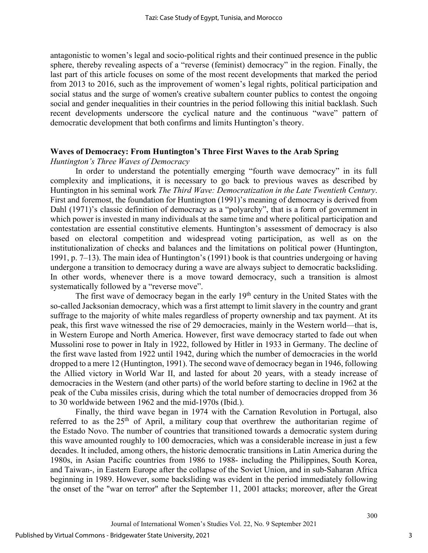antagonistic to women's legal and socio-political rights and their continued presence in the public sphere, thereby revealing aspects of a "reverse (feminist) democracy" in the region. Finally, the last part of this article focuses on some of the most recent developments that marked the period from 2013 to 2016, such as the improvement of women's legal rights, political participation and social status and the surge of women's creative subaltern counter publics to contest the ongoing social and gender inequalities in their countries in the period following this initial backlash. Such recent developments underscore the cyclical nature and the continuous "wave" pattern of democratic development that both confirms and limits Huntington's theory.

#### **Waves of Democracy: From Huntington's Three First Waves to the Arab Spring**

#### *Huntington's Three Waves of Democracy*

In order to understand the potentially emerging "fourth wave democracy" in its full complexity and implications, it is necessary to go back to previous waves as described by Huntington in his seminal work *The Third Wave: Democratization in the Late Twentieth Century*. First and foremost, the foundation for Huntington (1991)'s meaning of democracy is derived from Dahl (1971)'s classic definition of democracy as a "polyarchy", that is a form of government in which power is invested in many individuals at the same time and where political participation and contestation are essential constitutive elements. Huntington's assessment of democracy is also based on electoral competition and widespread voting participation, as well as on the institutionalization of checks and balances and the limitations on political power (Huntington, 1991, p. 7–13). The main idea of Huntington's (1991) book is that countries undergoing or having undergone a transition to democracy during a wave are always subject to [democratic backsliding.](https://en.wikipedia.org/wiki/Democratic_backsliding) In other words, whenever there is a move toward democracy, such a transition is almost systematically followed by a "reverse move".

The first wave of democracy began in the early  $19<sup>th</sup>$  century in the United States with the so-called Jacksonian [democracy,](https://en.wikipedia.org/wiki/Jacksonian_democracy) which was a first attempt to limit slavery in the country and grant suffrage to the majority of white males regardless of property ownership and tax payment. At its peak, this first wave witnessed the rise of 29 democracies, mainly in the Western world—that is, in Western Europe and North America. However, first wave democracy started to fade out when Mussolini rose to power in Italy in 1922, followed by Hitler in 1933 in Germany. The decline of the first wave lasted from 1922 until 1942, during which the number of democracies in the world dropped to a mere 12 (Huntington, 1991). The second wave of democracy began in 1946, following the Allied victory in [World](https://en.wikipedia.org/wiki/World_War_II) War II, and lasted for about 20 years, with a steady increase of democracies in the Western (and other parts) of the world before starting to decline in 1962 at the peak of the Cuba missiles crisis, during which the total number of democracies dropped from 36 to 30 worldwide between 1962 and the mid-1970s (Ibid.).

Finally, the third wave began in 1974 with the [Carnation Revolution](https://en.wikipedia.org/wiki/Carnation_Revolution) in Portugal, also referred to as the  $25<sup>th</sup>$  of April, a [military](https://en.wikipedia.org/wiki/Military_coup) coup that overthrew the authoritarian regime of the [Estado Novo.](https://en.wikipedia.org/wiki/Estado_Novo_(Portugal)) The number of countries that transitioned towards a democratic system during this wave amounted roughly to 100 democracies, which was a considerable increase in just a few decades. It included, among others, the historic democratic transitions in Latin America during the 1980s, in Asian Pacific countries from 1986 to 1988- including the [Philippines,](https://en.wikipedia.org/wiki/Philippines) [South Korea,](https://en.wikipedia.org/wiki/South_Korea) and [Taiwan-](https://en.wikipedia.org/wiki/Taiwan), in Eastern Europe after the collapse of the Soviet Union, and in sub-Saharan Africa beginning in 1989. However, some backsliding was evident in the period immediately following the onset of the "war on terror" after the [September 11, 2001](https://en.wikipedia.org/wiki/September_11,_2001) attacks; moreover, after the Great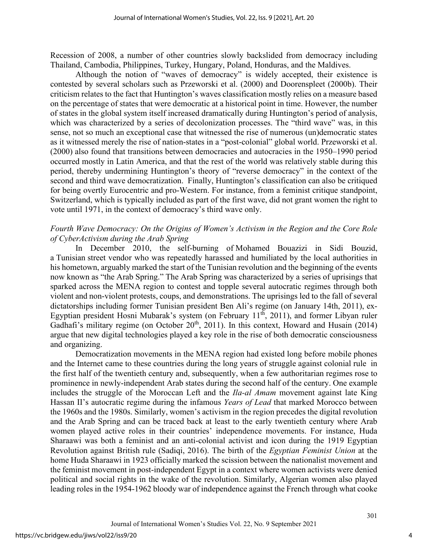Recession of 2008, a number of other countries slowly backslided from democracy including Thailand, Cambodia, Philippines, Turkey, Hungary, Poland, Honduras, and the Maldives.

Although the notion of "waves of democracy" is widely accepted, their existence is contested by several scholars such as Przeworski et al. (2000) and Doorenspleet (2000b). Their criticism relates to the fact that Huntington's waves classification mostly relies on a measure based on the percentage of states that were democratic at a historical point in time. However, the number of states in the global system itself increased dramatically during Huntington's period of analysis, which was characterized by a series of decolonization processes. The "third wave" was, in this sense, not so much an exceptional case that witnessed the rise of numerous (un)democratic states as it witnessed merely the rise of nation-states in a "post-colonial" global world. Przeworski et al. (2000) also found that transitions between democracies and autocracies in the 1950–1990 period occurred mostly in Latin America, and that the rest of the world was relatively stable during this period, thereby undermining Huntington's theory of "reverse democracy" in the context of the second and third wave democratization. Finally, Huntington's classification can also be critiqued for being overtly Eurocentric and pro-Western. For instance, from a feminist critique standpoint, Switzerland, which is typically included as part of the first wave, did not grant women the right to vote until 1971, in the context of democracy's third wave only.

#### *Fourth Wave Democracy: On the Origins of Women's Activism in the Region and the Core Role of CyberActivism during the Arab Spring*

In December 2010, the self-burning of [Mohamed](https://en.wikipedia.org/wiki/Mohamed_Bouazizi) Bouazizi in Sidi Bouzid, a [Tunisian](https://en.wikipedia.org/wiki/Tunisia) street vendor who was repeatedly harassed and humiliated by the local authorities in his hometown, arguably marked the start of the Tunisian revolution and the beginning of the events now known as "the Arab Spring." The Arab Spring was characterized by a series of uprisings that sparked across the MENA region to contest and topple several autocratic regimes through both violent and non-violent protests, coups, and demonstrations. The uprisings led to the fall of several dictatorships including former Tunisian president Ben Ali's regime (on January 14th, 2011), ex-Egyptian president Hosni Mubarak's system (on February  $11^{th}$ , 2011), and former Libyan ruler Gadhafi's military regime (on October  $20<sup>th</sup>$ ,  $2011$ ). In this context, Howard and Husain (2014) argue that new digital technologies played a key role in the rise of both democratic consciousness and organizing.

Democratization movements in the MENA region had existed long before mobile phones and the Internet came to these countries during the long years of struggle against colonial rule in the first half of the twentieth century and, subsequently, when a few authoritarian regimes rose to prominence in newly-independent Arab states during the second half of the century. One example includes the struggle of the Moroccan Left and the *Ila-al Amam* movement against late King Hassan II's autocratic regime during the infamous *Years of Lead* that marked Morocco between the 1960s and the 1980s. Similarly, women's activism in the region precedes the digital revolution and the Arab Spring and can be traced back at least to the early twentieth century where Arab women played active roles in their countries' independence movements. For instance, Huda Sharaawi was both a feminist and an anti-colonial activist and icon during the 1919 Egyptian Revolution against British rule (Sadiqi, 2016). The birth of the *Egyptian Feminist Union* at the home Huda Sharaawi in 1923 officially marked the scission between the nationalist movement and the feminist movement in post-independent Egypt in a context where women activists were denied political and social rights in the wake of the revolution. Similarly, Algerian women also played leading roles in the 1954-1962 bloody war of independence against the French through what cooke

4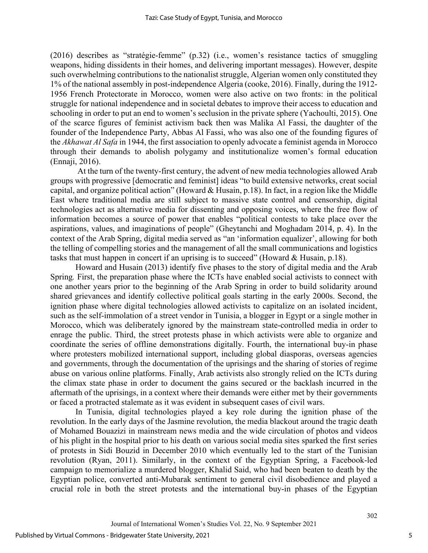(2016) describes as "stratégie-femme" (p.32) (i.e., women's resistance tactics of smuggling weapons, hiding dissidents in their homes, and delivering important messages). However, despite such overwhelming contributions to the nationalist struggle, Algerian women only constituted they 1% of the national assembly in post-independence Algeria (cooke, 2016). Finally, during the 1912- 1956 French Protectorate in Morocco, women were also active on two fronts: in the political struggle for national independence and in societal debates to improve their access to education and schooling in order to put an end to women's seclusion in the private sphere (Yachoulti, 2015). One of the scarce figures of feminist activism back then was Malika Al Fassi, the daughter of the founder of the Independence Party, Abbas Al Fassi, who was also one of the founding figures of the *Akhawat Al Safa* in 1944, the first association to openly advocate a feminist agenda in Morocco through their demands to abolish polygamy and institutionalize women's formal education (Ennaji, 2016).

At the turn of the twenty-first century, the advent of new media technologies allowed Arab groups with progressive [democratic and feminist] ideas "to build extensive networks, creat social capital, and organize political action" (Howard & Husain, p.18). In fact, in a region like the Middle East where traditional media are still subject to massive state control and censorship, digital technologies act as alternative media for dissenting and opposing voices, where the free flow of information becomes a source of power that enables "political contests to take place over the aspirations, values, and imaginations of people" (Gheytanchi and Moghadam 2014, p. 4). In the context of the Arab Spring, digital media served as "an 'information equalizer', allowing for both the telling of compelling stories and the management of all the small communications and logistics tasks that must happen in concert if an uprising is to succeed" (Howard & Husain, p.18).

Howard and Husain (2013) identify five phases to the story of digital media and the Arab Spring*.* First, the preparation phase where the ICTs have enabled social activists to connect with one another years prior to the beginning of the Arab Spring in order to build solidarity around shared grievances and identify collective political goals starting in the early 2000s. Second, the ignition phase where digital technologies allowed activists to capitalize on an isolated incident, such as the self-immolation of a street vendor in Tunisia, a blogger in Egypt or a single mother in Morocco, which was deliberately ignored by the mainstream state-controlled media in order to enrage the public. Third, the street protests phase in which activists were able to organize and coordinate the series of offline demonstrations digitally. Fourth, the international buy-in phase where protesters mobilized international support, including global diasporas, overseas agencies and governments, through the documentation of the uprisings and the sharing of stories of regime abuse on various online platforms. Finally, Arab activists also strongly relied on the ICTs during the climax state phase in order to document the gains secured or the backlash incurred in the aftermath of the uprisings, in a context where their demands were either met by their governments or faced a protracted stalemate as it was evident in subsequent cases of civil wars.

In Tunisia, digital technologies played a key role during the ignition phase of the revolution. In the early days of the Jasmine revolution, the media blackout around the tragic death of Mohamed Bouazizi in mainstream news media and the wide circulation of photos and videos of his plight in the hospital prior to his death on various social media sites sparked the first series of protests in Sidi Bouzid in December 2010 which eventually led to the start of the Tunisian revolution (Ryan, 2011). Similarly, in the context of the Egyptian Spring, a Facebook-led campaign to memorialize a murdered blogger, Khalid Said, who had been beaten to death by the Egyptian police, converted anti-Mubarak sentiment to general civil disobedience and played a crucial role in both the street protests and the international buy-in phases of the Egyptian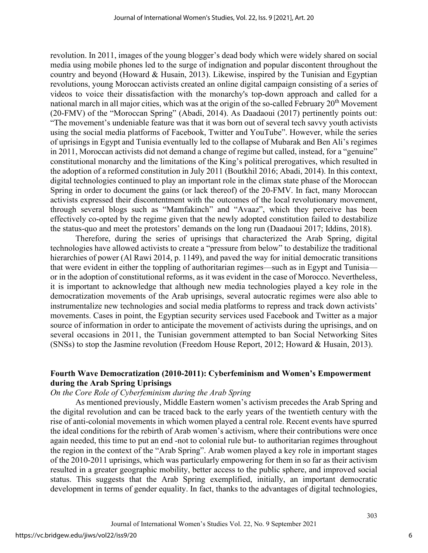revolution. In 2011, images of the young blogger's dead body which were widely shared on social media using mobile phones led to the surge of indignation and popular discontent throughout the country and beyond (Howard & Husain, 2013). Likewise, inspired by the Tunisian and Egyptian revolutions, young Moroccan activists created an online digital campaign consisting of a series of videos to voice their dissatisfaction with the monarchy's top-down approach and called for a national march in all major cities, which was at the origin of the so-called February 20<sup>th</sup> Movement (20-FMV) of the "Moroccan Spring" (Abadi, 2014). As Daadaoui (2017) pertinently points out: "The movement's undeniable feature was that it was born out of several tech savvy youth activists using the social media platforms of Facebook, Twitter and YouTube". However, while the series of uprisings in Egypt and Tunisia eventually led to the collapse of Mubarak and Ben Ali's regimes in 2011, Moroccan activists did not demand a change of regime but called, instead, for a "genuine" constitutional monarchy and the limitations of the King's political prerogatives, which resulted in the adoption of a reformed constitution in July 2011 (Boutkhil 2016; Abadi, 2014). In this context, digital technologies continued to play an important role in the climax state phase of the Moroccan Spring in order to document the gains (or lack thereof) of the 20-FMV. In fact, many Moroccan activists expressed their discontentment with the outcomes of the local revolutionary movement, through several blogs such as "Mamfakinch" and "Avaaz", which they perceive has been effectively co-opted by the regime given that the newly adopted constitution failed to destabilize the status-quo and meet the protestors' demands on the long run (Daadaoui 2017; Iddins, 2018).

Therefore, during the series of uprisings that characterized the Arab Spring, digital technologies have allowed activists to create a "pressure from below" to destabilize the traditional hierarchies of power (Al Rawi 2014, p. 1149), and paved the way for initial democratic transitions that were evident in either the toppling of authoritarian regimes—such as in Egypt and Tunisia or in the adoption of constitutional reforms, as it was evident in the case of Morocco. Nevertheless, it is important to acknowledge that although new media technologies played a key role in the democratization movements of the Arab uprisings, several autocratic regimes were also able to instrumentalize new technologies and social media platforms to repress and track down activists' movements. Cases in point, the Egyptian security services used Facebook and Twitter as a major source of information in order to anticipate the movement of activists during the uprisings, and on several occasions in 2011, the Tunisian government attempted to ban Social Networking Sites (SNSs) to stop the Jasmine revolution (Freedom House Report, 2012; Howard & Husain, 2013).

## **Fourth Wave Democratization (2010-2011): Cyberfeminism and Women's Empowerment during the Arab Spring Uprisings**

## *On the Core Role of Cyberfeminism during the Arab Spring*

As mentioned previously, Middle Eastern women's activism precedes the Arab Spring and the digital revolution and can be traced back to the early years of the twentieth century with the rise of anti-colonial movements in which women played a central role. Recent events have spurred the ideal conditions for the rebirth of Arab women's activism, where their contributions were once again needed, this time to put an end -not to colonial rule but- to authoritarian regimes throughout the region in the context of the "Arab Spring". Arab women played a key role in important stages of the 2010-2011 uprisings, which was particularly empowering for them in so far as their activism resulted in a greater geographic mobility, better access to the public sphere, and improved social status. This suggests that the Arab Spring exemplified, initially, an important democratic development in terms of gender equality. In fact, thanks to the advantages of digital technologies,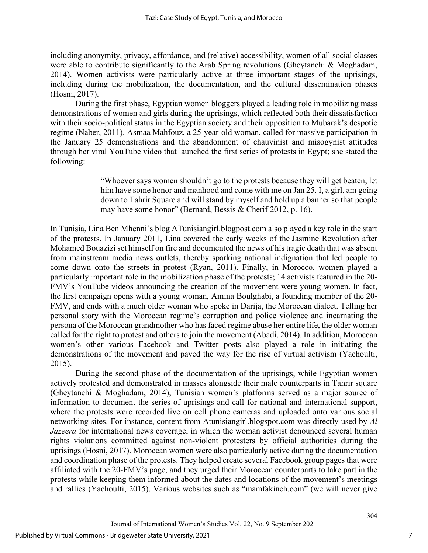including anonymity, privacy, affordance, and (relative) accessibility, women of all social classes were able to contribute significantly to the Arab Spring revolutions (Gheytanchi & Moghadam, 2014). Women activists were particularly active at three important stages of the uprisings, including during the mobilization, the documentation, and the cultural dissemination phases (Hosni, 2017).

During the first phase, Egyptian women bloggers played a leading role in mobilizing mass demonstrations of women and girls during the uprisings, which reflected both their dissatisfaction with their socio-political status in the Egyptian society and their opposition to Mubarak's despotic regime (Naber, 2011). Asmaa Mahfouz, a 25-year-old woman, called for massive participation in the January 25 demonstrations and the abandonment of chauvinist and misogynist attitudes through her viral YouTube video that launched the first series of protests in Egypt; she stated the following:

> "Whoever says women shouldn't go to the protests because they will get beaten, let him have some honor and manhood and come with me on Jan 25. I, a girl, am going down to Tahrir Square and will stand by myself and hold up a banner so that people may have some honor" (Bernard, Bessis & Cherif 2012, p. 16).

In Tunisia, Lina Ben Mhenni's blog ATunisiangirl.blogpost.com also played a key role in the start of the protests. In January 2011, Lina covered the early weeks of the [Jasmine Revolution](https://en.wikipedia.org/wiki/Tunisian_Revolution) after Mohamed Bouazizi set himself on fire and documented the news of his tragic death that was absent from mainstream media news outlets, thereby sparking national indignation that led people to come down onto the streets in protest (Ryan, 2011). Finally, in Morocco, women played a particularly important role in the mobilization phase of the protests; 14 activists featured in the 20- FMV's YouTube videos announcing the creation of the movement were young women. In fact, the first campaign opens with a young woman, Amina Boulghabi, a founding member of the 20- FMV, and ends with a much older woman who spoke in Darija, the Moroccan dialect. Telling her personal story with the Moroccan regime's corruption and police violence and incarnating the persona of the Moroccan grandmother who has faced regime abuse her entire life, the older woman called for the right to protest and others to join the movement (Abadi, 2014). In addition, Moroccan women's other various Facebook and Twitter posts also played a role in initiating the demonstrations of the movement and paved the way for the rise of virtual activism (Yachoulti, 2015).

During the second phase of the documentation of the uprisings, while Egyptian women actively protested and demonstrated in masses alongside their male counterparts in Tahrir square (Gheytanchi & Moghadam, 2014), Tunisian women's platforms served as a major source of information to document the series of uprisings and call for national and international support, where the protests were recorded live on cell phone cameras and uploaded onto various social networking sites. For instance, content from Atunisiangirl.blogspot.com was directly used by *Al Jazeera* for international news coverage, in which the woman activist denounced several human rights violations committed against non-violent protesters by official authorities during the uprisings (Hosni, 2017). Moroccan women were also particularly active during the documentation and coordination phase of the protests. They helped create several Facebook group pages that were affiliated with the 20-FMV's page, and they urged their Moroccan counterparts to take part in the protests while keeping them informed about the dates and locations of the movement's meetings and rallies (Yachoulti, 2015). Various websites such as "mamfakinch.com" (we will never give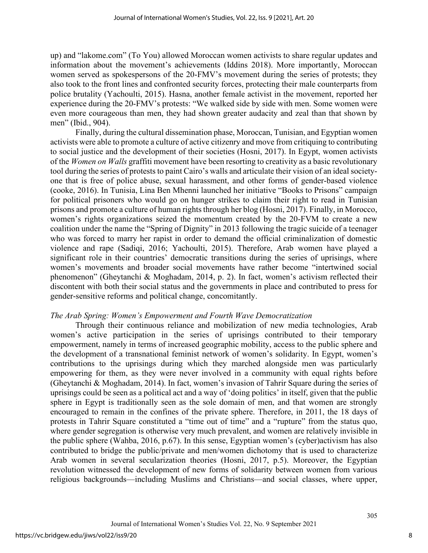up) and "lakome.com" (To You) allowed Moroccan women activists to share regular updates and information about the movement's achievements (Iddins 2018). More importantly, Moroccan women served as spokespersons of the 20-FMV's movement during the series of protests; they also took to the front lines and confronted security forces, protecting their male counterparts from police brutality (Yachoulti, 2015). Hasna, another female activist in the movement, reported her experience during the 20-FMV's protests: "We walked side by side with men. Some women were even more courageous than men, they had shown greater audacity and zeal than that shown by men" (Ibid., 904).

Finally, during the cultural dissemination phase, Moroccan, Tunisian, and Egyptian women activists were able to promote a culture of active citizenry and move from critiquing to contributing to social justice and the development of their societies (Hosni, 2017). In Egypt, women activists of the *Women on Walls* graffiti movement have been resorting to creativity as a basic revolutionary tool during the series of protests to paint Cairo's walls and articulate their vision of an ideal societyone that is free of police abuse, sexual harassment, and other forms of gender-based violence (cooke, 2016). In Tunisia, Lina Ben Mhenni launched her initiative "Books to Prisons" campaign for political prisoners who would go on hunger strikes to claim their right to read in Tunisian prisons and promote a culture of human rights through her blog (Hosni, 2017). Finally, in Morocco, women's rights organizations seized the momentum created by the 20-FVM to create a new coalition under the name the "Spring of Dignity" in 2013 following the tragic suicide of a teenager who was forced to marry her rapist in order to demand the official criminalization of domestic violence and rape (Sadiqi, 2016; Yachoulti, 2015). Therefore, Arab women have played a significant role in their countries' democratic transitions during the series of uprisings, where women's movements and broader social movements have rather become "intertwined social phenomenon" (Gheytanchi & Moghadam, 2014, p. 2). In fact, women's activism reflected their discontent with both their social status and the governments in place and contributed to press for gender-sensitive reforms and political change, concomitantly.

#### *The Arab Spring: Women's Empowerment and Fourth Wave Democratization*

Through their continuous reliance and mobilization of new media technologies, Arab women's active participation in the series of uprisings contributed to their temporary empowerment, namely in terms of increased geographic mobility, access to the public sphere and the development of a transnational feminist network of women's solidarity. In Egypt, women's contributions to the uprisings during which they marched alongside men was particularly empowering for them, as they were never involved in a community with equal rights before (Gheytanchi & Moghadam, 2014). In fact, women's invasion of Tahrir Square during the series of uprisings could be seen as a political act and a way of 'doing politics' in itself, given that the public sphere in Egypt is traditionally seen as the sole domain of men, and that women are strongly encouraged to remain in the confines of the private sphere. Therefore, in 2011, the 18 days of protests in Tahrir Square constituted a "time out of time" and a "rupture" from the status quo, where gender segregation is otherwise very much prevalent, and women are relatively invisible in the public sphere (Wahba, 2016, p.67). In this sense, Egyptian women's (cyber)activism has also contributed to bridge the public/private and men/women dichotomy that is used to characterize Arab women in several secularization theories (Hosni, 2017, p.5). Moreover, the Egyptian revolution witnessed the development of new forms of solidarity between women from various religious backgrounds—including Muslims and Christians—and social classes, where upper,

8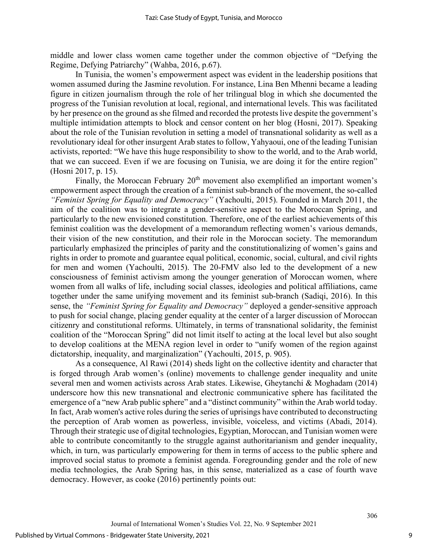middle and lower class women came together under the common objective of "Defying the Regime, Defying Patriarchy" (Wahba, 2016, p.67).

In Tunisia, the women's empowerment aspect was evident in the leadership positions that women assumed during the Jasmine revolution. For instance, Lina Ben Mhenni became a leading figure in citizen journalism through the role of her trilingual blog in which she documented the progress of the Tunisian revolution at local, regional, and international levels. This was facilitated by her presence on the ground as she filmed and recorded the protests live despite the government's multiple intimidation attempts to block and censor content on her blog (Hosni, 2017). Speaking about the role of the Tunisian revolution in setting a model of transnational solidarity as well as a revolutionary ideal for other insurgent Arab states to follow, Yahyaoui, one of the leading Tunisian activists, reported: "We have this huge responsibility to show to the world, and to the Arab world, that we can succeed. Even if we are focusing on Tunisia, we are doing it for the entire region" (Hosni 2017, p. 15).

Finally, the Moroccan February  $20<sup>th</sup>$  movement also exemplified an important women's empowerment aspect through the creation of a feminist sub-branch of the movement, the so-called *"Feminist Spring for Equality and Democracy"* (Yachoulti, 2015). Founded in March 2011, the aim of the coalition was to integrate a gender-sensitive aspect to the Moroccan Spring, and particularly to the new envisioned constitution. Therefore, one of the earliest achievements of this feminist coalition was the development of a memorandum reflecting women's various demands, their vision of the new constitution, and their role in the Moroccan society. The memorandum particularly emphasized the principles of parity and the constitutionalizing of women's gains and rights in order to promote and guarantee equal political, economic, social, cultural, and civil rights for men and women (Yachoulti, 2015). The 20-FMV also led to the development of a new consciousness of feminist activism among the younger generation of Moroccan women, where women from all walks of life, including social classes, ideologies and political affiliations, came together under the same unifying movement and its feminist sub-branch (Sadiqi, 2016). In this sense, the *"Feminist Spring for Equality and Democracy"* deployed a gender-sensitive approach to push for social change, placing gender equality at the center of a larger discussion of Moroccan citizenry and constitutional reforms. Ultimately, in terms of transnational solidarity, the feminist coalition of the "Moroccan Spring" did not limit itself to acting at the local level but also sought to develop coalitions at the MENA region level in order to "unify women of the region against dictatorship, inequality, and marginalization" (Yachoulti, 2015, p. 905).

As a consequence, Al Rawi (2014) sheds light on the collective identity and character that is forged through Arab women's (online) movements to challenge gender inequality and unite several men and women activists across Arab states. Likewise, Gheytanchi & Moghadam (2014) underscore how this new transnational and electronic communicative sphere has facilitated the emergence of a "new Arab public sphere" and a "distinct community" within the Arab world today. In fact, Arab women's active roles during the series of uprisings have contributed to deconstructing the perception of Arab women as powerless, invisible, voiceless, and victims (Abadi, 2014). Through their strategic use of digital technologies, Egyptian, Moroccan, and Tunisian women were able to contribute concomitantly to the struggle against authoritarianism and gender inequality, which, in turn, was particularly empowering for them in terms of access to the public sphere and improved social status to promote a feminist agenda. Foregrounding gender and the role of new media technologies, the Arab Spring has, in this sense, materialized as a case of fourth wave democracy. However, as cooke (2016) pertinently points out: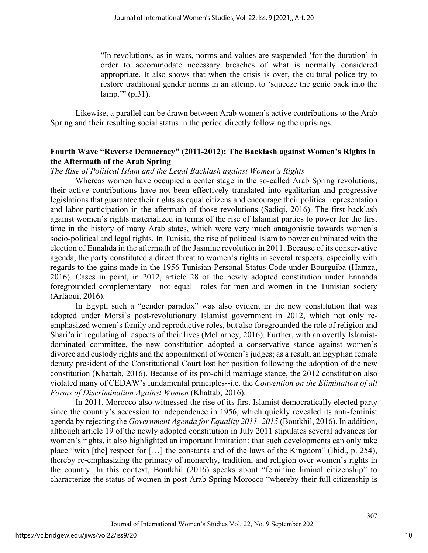"In revolutions, as in wars, norms and values are suspended 'for the duration' in order to accommodate necessary breaches of what is normally considered appropriate. It also shows that when the crisis is over, the cultural police try to restore traditional gender norms in an attempt to 'squeeze the genie back into the lamp.'" (p.31).

Likewise, a parallel can be drawn between Arab women's active contributions to the Arab Spring and their resulting social status in the period directly following the uprisings.

#### **Fourth Wave "Reverse Democracy" (2011-2012): The Backlash against Women's Rights in the Aftermath of the Arab Spring**

#### *The Rise of Political Islam and the Legal Backlash against Women's Rights*

Whereas women have occupied a center stage in the so-called Arab Spring revolutions, their active contributions have not been effectively translated into egalitarian and progressive legislations that guarantee their rights as equal citizens and encourage their political representation and labor participation in the aftermath of those revolutions (Sadiqi, 2016). The first backlash against women's rights materialized in terms of the rise of Islamist parties to power for the first time in the history of many Arab states, which were very much antagonistic towards women's socio-political and legal rights. In Tunisia, the rise of political Islam to power culminated with the election of Ennahda in the aftermath of the Jasmine revolution in 2011. Because of its conservative agenda, the party constituted a direct threat to women's rights in several respects, especially with regards to the gains made in the 1956 Tunisian Personal Status Code under Bourguiba (Hamza, 2016). Cases in point, in 2012, article 28 of the newly adopted constitution under Ennahda foregrounded complementary—not equal—roles for men and women in the Tunisian society (Arfaoui, 2016).

In Egypt, such a "gender paradox" was also evident in the new constitution that was adopted under Morsi's post-revolutionary Islamist government in 2012, which not only reemphasized women's family and reproductive roles, but also foregrounded the role of religion and Shari'a in regulating all aspects of their lives (McLarney, 2016). Further, with an overtly Islamistdominated committee, the new constitution adopted a conservative stance against women's divorce and custody rights and the appointment of women's judges; as a result, an Egyptian female deputy president of the Constitutional Court lost her position following the adoption of the new constitution (Khattab, 2016). Because of its pro-child marriage stance, the 2012 constitution also violated many of CEDAW's fundamental principles--i.e. the *Convention on the Elimination of all Forms of Discrimination Against Women* (Khattab, 2016).

In 2011, Morocco also witnessed the rise of its first Islamist democratically elected party since the country's accession to independence in 1956, which quickly revealed its anti-feminist agenda by rejecting the *Government Agenda for Equality 2011–2015* (Boutkhil, 2016). In addition, although article 19 of the newly adopted constitution in July 2011 stipulates several advances for women's rights, it also highlighted an important limitation: that such developments can only take place "with [the] respect for […] the constants and of the laws of the Kingdom" (Ibid., p. 254), thereby re-emphasizing the primacy of monarchy, tradition, and religion over women's rights in the country. In this context, Boutkhil (2016) speaks about "feminine liminal citizenship" to characterize the status of women in post-Arab Spring Morocco "whereby their full citizenship is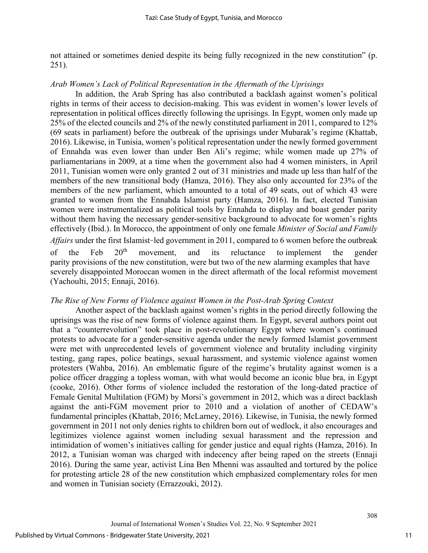not attained or sometimes denied despite its being fully recognized in the new constitution" (p. 251).

#### *Arab Women's Lack of Political Representation in the Aftermath of the Uprisings*

In addition, the Arab Spring has also contributed a backlash against women's political rights in terms of their access to decision-making. This was evident in women's lower levels of representation in political offices directly following the uprisings. In Egypt, women only made up 25% of the elected councils and 2% of the newly constituted parliament in 2011, compared to 12% (69 seats in parliament) before the outbreak of the uprisings under Mubarak's regime (Khattab, 2016). Likewise, in Tunisia, women's political representation under the newly formed government of Ennahda was even lower than under Ben Ali's regime; while women made up 27% of parliamentarians in 2009, at a time when the government also had 4 women ministers, in April 2011, Tunisian women were only granted 2 out of 31 ministries and made up less than half of the members of the new transitional body (Hamza, 2016). They also only accounted for 23% of the members of the new parliament, which amounted to a total of 49 seats, out of which 43 were granted to women from the Ennahda Islamist party (Hamza, 2016). In fact, elected Tunisian women were instrumentalized as political tools by Ennahda to display and boast gender parity without them having the necessary gender-sensitive background to advocate for women's rights effectively (Ibid.). In Morocco, the appointment of only one female *Minister of Social and Family Affairs* under the first Islamist-led government in 2011, compared to 6 women before the outbreak of the Feb  $20<sup>th</sup>$  movement, and its reluctance to implement the gender parity provisions of the new constitution, were but two of the new alarming examples that have severely disappointed Moroccan women in the direct aftermath of the local reformist movement (Yachoulti, 2015; Ennaji, 2016).

#### *The Rise of New Forms of Violence against Women in the Post-Arab Spring Context*

Another aspect of the backlash against women's rights in the period directly following the uprisings was the rise of new forms of violence against them. In Egypt, several authors point out that a "counterrevolution" took place in post-revolutionary Egypt where women's continued protests to advocate for a gender-sensitive agenda under the newly formed Islamist government were met with unprecedented levels of government violence and brutality including virginity testing, gang rapes, police beatings, sexual harassment, and systemic violence against women protesters (Wahba, 2016). An emblematic figure of the regime's brutality against women is a police officer dragging a topless woman, with what would become an iconic blue bra, in Egypt (cooke, 2016). Other forms of violence included the restoration of the long-dated practice of Female Genital Multilation (FGM) by Morsi's government in 2012, which was a direct backlash against the anti-FGM movement prior to 2010 and a violation of another of CEDAW's fundamental principles (Khattab, 2016; McLarney, 2016). Likewise, in Tunisia, the newly formed government in 2011 not only denies rights to children born out of wedlock, it also encourages and legitimizes violence against women including sexual harassment and the repression and intimidation of women's initiatives calling for gender justice and equal rights (Hamza, 2016). In 2012, a Tunisian woman was charged with indecency after being raped on the streets (Ennaji 2016). During the same year, activist Lina Ben Mhenni was assaulted and tortured by the police for protesting article 28 of the new constitution which emphasized complementary roles for men and women in Tunisian society (Errazzouki, 2012).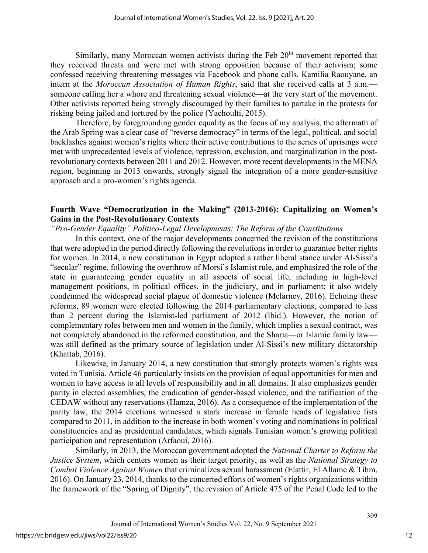Similarly, many Moroccan women activists during the Feb 20<sup>th</sup> movement reported that they received threats and were met with strong opposition because of their activism; some confessed receiving threatening messages via Facebook and phone calls. Kamilia Raouyane, an intern at the *Moroccan Association of Human Rights*, said that she received calls at 3 a.m. someone calling her a whore and threatening sexual violence—at the very start of the movement. Other activists reported being strongly discouraged by their families to partake in the protests for risking being jailed and tortured by the police (Yachoulti, 2015).

Therefore, by foregrounding gender equality as the focus of my analysis, the aftermath of the Arab Spring was a clear case of "reverse democracy" in terms of the legal, political, and social backlashes against women's rights where their active contributions to the series of uprisings were met with unprecedented levels of violence, repression, exclusion, and marginalization in the postrevolutionary contexts between 2011 and 2012. However, more recent developments in the MENA region, beginning in 2013 onwards, strongly signal the integration of a more gender-sensitive approach and a pro-women's rights agenda.

#### **Fourth Wave "Democratization in the Making" (2013-2016): Capitalizing on Women's Gains in the Post-Revolutionary Contexts**

*"Pro-Gender Equality" Politico-Legal Developments: The Reform of the Constitutions*

In this context, one of the major developments concerned the revision of the constitutions that were adopted in the period directly following the revolutions in order to guarantee better rights for women. In 2014, a new constitution in Egypt adopted a rather liberal stance under Al-Sissi's "secular" regime, following the overthrow of Morsi's Islamist rule, and emphasized the role of the state in guaranteeing gender equality in all aspects of social life, including in high-level management positions, in political offices, in the judiciary, and in parliament; it also widely condemned the widespread social plague of domestic violence (Mclarney, 2016). Echoing these reforms, 89 women were elected following the 2014 parliamentary elections, compared to less than 2 percent during the Islamist-led parliament of 2012 (Ibid.). However, the notion of complementary roles between men and women in the family, which implies a sexual contract, was not completely abandoned in the reformed constitution, and the Sharia—or Islamic family law was still defined as the primary source of legislation under Al-Sissi's new military dictatorship (Khattab, 2016).

Likewise, in January 2014, a new constitution that strongly protects women's rights was voted in Tunisia. Article 46 particularly insists on the provision of equal opportunities for men and women to have access to all levels of responsibility and in all domains. It also emphasizes gender parity in elected assemblies, the eradication of gender-based violence, and the ratification of the CEDAW without any reservations (Hamza, 2016). As a consequence of the implementation of the parity law, the 2014 elections witnessed a stark increase in female heads of legislative lists compared to 2011, in addition to the increase in both women's voting and nominations in political constituencies and as presidential candidates, which signals Tunisian women's growing political participation and representation (Arfaoui, 2016).

Similarly, in 2013, the Moroccan government adopted the *National Charter to Reform the Justice System*, which centers women as their target priority, as well as the *National Strategy to Combat Violence Against Women* that criminalizes sexual harassment (Elattir, El Allame & Tihm, 2016). On January 23, 2014, thanks to the concerted efforts of women's rights organizations within the framework of the "Spring of Dignity", the revision of Article 475 of the Penal Code led to the

12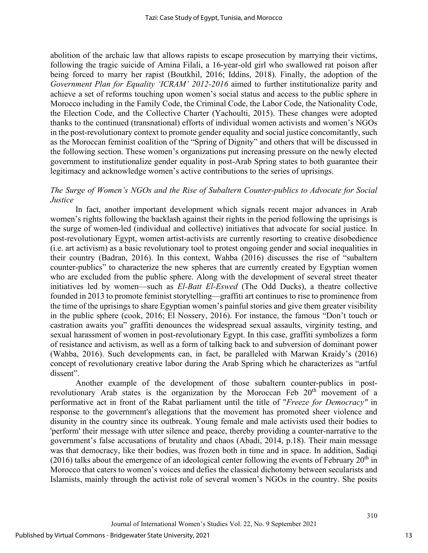abolition of the archaic law that allows rapists to escape prosecution by marrying their victims, following the tragic suicide of Amina Filali, a 16-year-old girl who swallowed rat poison after being forced to marry her rapist (Boutkhil, 2016; Iddins, 2018). Finally, the adoption of the *Government Plan for Equality 'ICRAM' 2012-2016* aimed to further institutionalize parity and achieve a set of reforms touching upon women's social status and access to the public sphere in Morocco including in the Family Code, the Criminal Code, the Labor Code, the Nationality Code, the Election Code, and the Collective Charter (Yachoulti, 2015). These changes were adopted thanks to the continued (transnational) efforts of individual women activists and women's NGOs in the post-revolutionary context to promote gender equality and social justice concomitantly, such as the Moroccan feminist coalition of the "Spring of Dignity" and others that will be discussed in the following section. These women's organizations put increasing pressure on the newly elected government to institutionalize gender equality in post-Arab Spring states to both guarantee their legitimacy and acknowledge women's active contributions to the series of uprisings.

## *The Surge of Women's NGOs and the Rise of Subaltern Counter-publics to Advocate for Social Justice*

In fact, another important development which signals recent major advances in Arab women's rights following the backlash against their rights in the period following the uprisings is the surge of women-led (individual and collective) initiatives that advocate for social justice. In post-revolutionary Egypt, women artist-activists are currently resorting to creative disobedience (i.e. art activism) as a basic revolutionary tool to protest ongoing gender and social inequalities in their country (Badran, 2016). In this context, Wahba (2016) discusses the rise of "subaltern counter-publics" to characterize the new spheres that are currently created by Egyptian women who are excluded from the public sphere. Along with the development of several street theater initiatives led by women—such as *El-Batt El-Eswed* (The Odd Ducks), a theatre collective founded in 2013 to promote feminist storytelling—graffiti art continues to rise to prominence from the time of the uprisings to share Egyptian women's painful stories and give them greater visibility in the public sphere (cook, 2016; El Nossery, 2016). For instance, the famous "Don't touch or castration awaits you" graffiti denounces the widespread sexual assaults, virginity testing, and sexual harassment of women in post-revolutionary Egypt. In this case, graffiti symbolizes a form of resistance and activism, as well as a form of talking back to and subversion of dominant power (Wahba, 2016). Such developments can, in fact, be paralleled with Marwan Kraidy's (2016) concept of revolutionary creative labor during the Arab Spring which he characterizes as "artful dissent".

Another example of the development of those subaltern counter-publics in postrevolutionary Arab states is the organization by the Moroccan Feb  $20<sup>th</sup>$  movement of a performative act in front of the Rabat parliament until the title of "*Freeze for Democracy"* in response to the government's allegations that the movement has promoted sheer violence and disunity in the country since its outbreak. Young female and male activists used their bodies to 'perform' their message with utter silence and peace, thereby providing a counter-narrative to the government's false accusations of brutality and chaos (Abadi, 2014, p.18). Their main message was that democracy, like their bodies, was frozen both in time and in space. In addition, Sadiqi (2016) talks about the emergence of an ideological center following the events of February  $20<sup>th</sup>$  in Morocco that caters to women's voices and defies the classical dichotomy between secularists and Islamists, mainly through the activist role of several women's NGOs in the country. She posits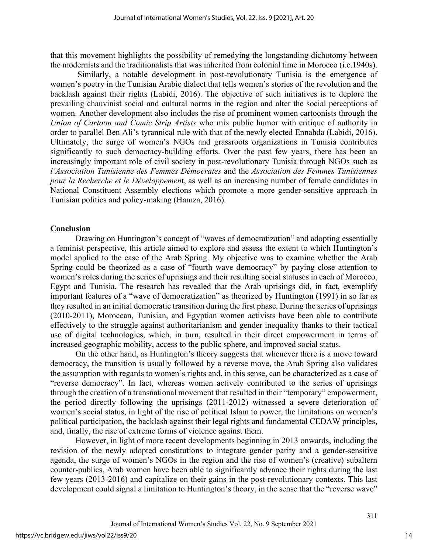that this movement highlights the possibility of remedying the longstanding dichotomy between the modernists and the traditionalists that was inherited from colonial time in Morocco (i.e.1940s).

Similarly, a notable development in post-revolutionary Tunisia is the emergence of women's poetry in the Tunisian Arabic dialect that tells women's stories of the revolution and the backlash against their rights (Labidi, 2016). The objective of such initiatives is to deplore the prevailing chauvinist social and cultural norms in the region and alter the social perceptions of women. Another development also includes the rise of prominent women cartoonists through the *Union of Cartoon and Comic Strip Artists* who mix public humor with critique of authority in order to parallel Ben Ali's tyrannical rule with that of the newly elected Ennahda (Labidi, 2016). Ultimately, the surge of women's NGOs and grassroots organizations in Tunisia contributes significantly to such democracy-building efforts. Over the past few years, there has been an increasingly important role of civil society in post-revolutionary Tunisia through NGOs such as *l'Association Tunisienne des Femmes Démocrates* and the *Association des Femmes Tunisiennes pour la Recherche et le Développemen*t, as well as an increasing number of female candidates in National Constituent Assembly elections which promote a more gender-sensitive approach in Tunisian politics and policy-making (Hamza, 2016).

#### **Conclusion**

Drawing on Huntington's concept of "waves of democratization" and adopting essentially a feminist perspective, this article aimed to explore and assess the extent to which Huntington's model applied to the case of the Arab Spring. My objective was to examine whether the Arab Spring could be theorized as a case of "fourth wave democracy" by paying close attention to women's roles during the series of uprisings and their resulting social statuses in each of Morocco, Egypt and Tunisia. The research has revealed that the Arab uprisings did, in fact, exemplify important features of a "wave of democratization" as theorized by Huntington (1991) in so far as they resulted in an initial democratic transition during the first phase. During the series of uprisings (2010-2011), Moroccan, Tunisian, and Egyptian women activists have been able to contribute effectively to the struggle against authoritarianism and gender inequality thanks to their tactical use of digital technologies, which, in turn, resulted in their direct empowerment in terms of increased geographic mobility, access to the public sphere, and improved social status.

On the other hand, as Huntington's theory suggests that whenever there is a move toward democracy, the transition is usually followed by a reverse move, the Arab Spring also validates the assumption with regards to women's rights and, in this sense, can be characterized as a case of "reverse democracy". In fact, whereas women actively contributed to the series of uprisings through the creation of a transnational movement that resulted in their "temporary" empowerment, the period directly following the uprisings (2011-2012) witnessed a severe deterioration of women's social status, in light of the rise of political Islam to power, the limitations on women's political participation, the backlash against their legal rights and fundamental CEDAW principles, and, finally, the rise of extreme forms of violence against them.

However, in light of more recent developments beginning in 2013 onwards, including the revision of the newly adopted constitutions to integrate gender parity and a gender-sensitive agenda, the surge of women's NGOs in the region and the rise of women's (creative) subaltern counter-publics, Arab women have been able to significantly advance their rights during the last few years (2013-2016) and capitalize on their gains in the post-revolutionary contexts. This last development could signal a limitation to Huntington's theory, in the sense that the "reverse wave"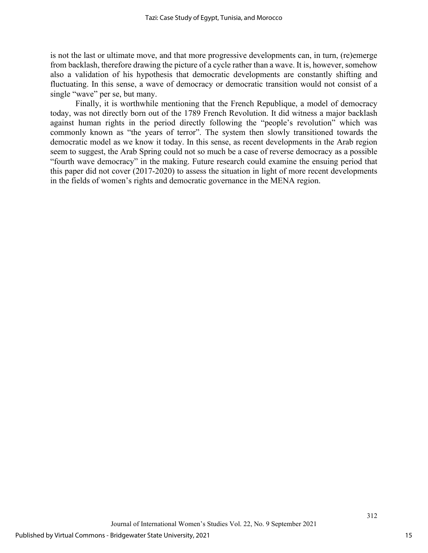is not the last or ultimate move, and that more progressive developments can, in turn, (re)emerge from backlash, therefore drawing the picture of a cycle rather than a wave. It is, however, somehow also a validation of his hypothesis that democratic developments are constantly shifting and fluctuating. In this sense, a wave of democracy or democratic transition would not consist of a single "wave" per se, but many.

Finally, it is worthwhile mentioning that the French Republique, a model of democracy today, was not directly born out of the 1789 French Revolution. It did witness a major backlash against human rights in the period directly following the "people's revolution" which was commonly known as "the years of terror". The system then slowly transitioned towards the democratic model as we know it today. In this sense, as recent developments in the Arab region seem to suggest, the Arab Spring could not so much be a case of reverse democracy as a possible "fourth wave democracy" in the making. Future research could examine the ensuing period that this paper did not cover (2017-2020) to assess the situation in light of more recent developments in the fields of women's rights and democratic governance in the MENA region.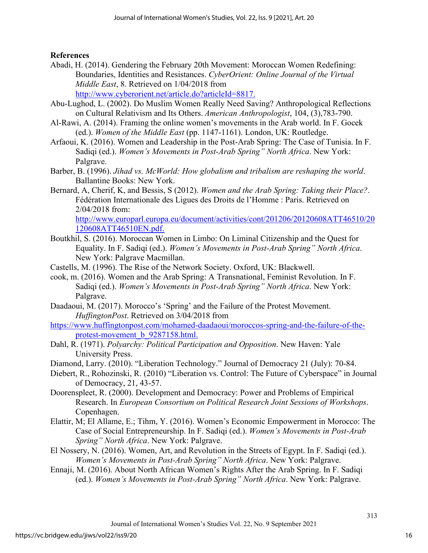**References**

- Abadi, H. (2014). Gendering the February 20th Movement: Moroccan Women Redefining: Boundaries, Identities and Resistances. *CyberOrient: Online Journal of the Virtual Middle East*, 8. Retrieved on 1/04/2018 from [http://www.cyberorient.net/article.do?articleId=8817.](http://www.cyberorient.net/article.do?articleId=8817)
- Abu-Lughod, L. (2002). Do Muslim Women Really Need Saving? Anthropological Reflections on Cultural Relativism and Its Others. *American Anthropologist*, 104, (3),783-790.
- Al-Rawi, A. (2014). Framing the online women's movements in the Arab world. In F. Gocek (ed.). *Women of the Middle East* (pp. 1147-1161). London, UK: Routledge.
- Arfaoui, K. (2016). Women and Leadership in the Post-Arab Spring: The Case of Tunisia. In F. Sadiqi (ed.). *Women's Movements in Post-Arab Spring" North Africa*. New York: Palgrave.
- Barber, B. (1996). *Jihad vs. McWorld: How globalism and tribalism are reshaping the world*. Ballantine Books: New York.
- Bernard, A, Cherif, K, and Bessis, S (2012). *Women and the Arab Spring: Taking their Place?*. Fédération Internationale des Ligues des Droits de l'Homme : Paris. Retrieved on 2/04/2018 from:

[http://www.europarl.europa.eu/document/activities/cont/201206/20120608ATT46510/20](http://www.europarl.europa.eu/document/activities/cont/201206/20120608ATT46510/20120608ATT46510EN.pdf) [120608ATT46510EN.pdf.](http://www.europarl.europa.eu/document/activities/cont/201206/20120608ATT46510/20120608ATT46510EN.pdf)

- Boutkhil, S. (2016). Moroccan Women in Limbo: On Liminal Citizenship and the Quest for Equality. In F. Sadiqi (ed.). *Women's Movements in Post-Arab Spring" North Africa*. New York: Palgrave Macmillan.
- Castells, M. (1996). The Rise of the Network Society. Oxford, UK: Blackwell.
- cook, m. (2016). Women and the Arab Spring: A Transnational, Feminist Revolution. In F. Sadiqi (ed.). *Women's Movements in Post-Arab Spring" North Africa*. New York: Palgrave.
- Daadaoui, M. (2017). Morocco's 'Spring' and the Failure of the Protest Movement. *HuffingtonPost*. Retrieved on 3/04/2018 from
- [https://www.huffingtonpost.com/mohamed-daadaoui/moroccos-spring-and-the-failure-of-the](https://www.huffingtonpost.com/mohamed-daadaoui/moroccos-spring-and-the-failure-of-the-protest-movement_b_9287158.html)[protest-movement\\_b\\_9287158.html.](https://www.huffingtonpost.com/mohamed-daadaoui/moroccos-spring-and-the-failure-of-the-protest-movement_b_9287158.html)
- Dahl, R. (1971). *Polyarchy: Political Participation and Opposition*. New Haven: Yale University Press.
- Diamond, Larry. (2010). "Liberation Technology." Journal of Democracy 21 (July): 70-84.
- Diebert, R., Rohozinski, R. (2010) "Liberation vs. Control: The Future of Cyberspace" in Journal of Democracy, 21, 43-57.
- Doorenspleet, R. (2000). Development and Democracy: Power and Problems of Empirical Research. In *European Consortium on Political Research Joint Sessions of Workshops*. Copenhagen.
- Elattir, M; El Allame, E.; Tihm, Y. (2016). Women's Economic Empowerment in Morocco: The Case of Social Entrepreneurship. In F. Sadiqi (ed.). *Women's Movements in Post-Arab Spring" North Africa*. New York: Palgrave.
- El Nossery, N. (2016). Women, Art, and Revolution in the Streets of Egypt. In F. Sadiqi (ed.). *Women's Movements in Post-Arab Spring" North Africa*. New York: Palgrave.
- Ennaji, M. (2016). About North African Women's Rights After the Arab Spring. In F. Sadiqi (ed.). *Women's Movements in Post-Arab Spring" North Africa*. New York: Palgrave.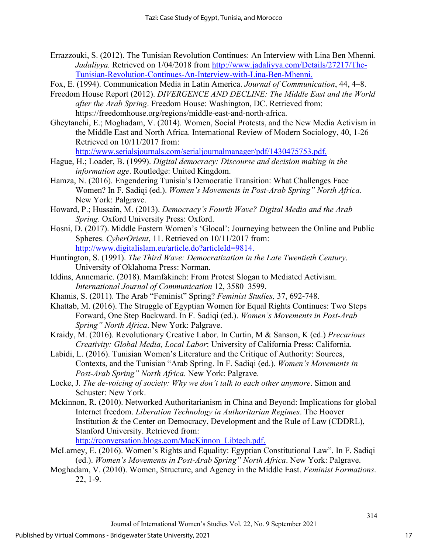- Errazzouki, S. (2012). The Tunisian Revolution Continues: An Interview with Lina Ben Mhenni. *Jadaliyya.* Retrieved on 1/04/2018 from [http://www.jadaliyya.com/Details/27217/The-](http://www.jadaliyya.com/Details/27217/The-Tunisian-Revolution-Continues-An-Interview-with-Lina-Ben-Mhenni)[Tunisian-Revolution-Continues-An-Interview-with-Lina-Ben-Mhenni.](http://www.jadaliyya.com/Details/27217/The-Tunisian-Revolution-Continues-An-Interview-with-Lina-Ben-Mhenni)
- Fox, E. (1994). Communication Media in Latin America. *Journal of Communication*, 44, 4–8.
- Freedom House Report (2012). *DIVERGENCE AND DECLINE: The Middle East and the World after the Arab Spring*. Freedom House: Washington, DC. Retrieved from: [https://freedomhouse.org/regions/middle-east-and-north-africa.](https://freedomhouse.org/regions/middle-east-and-north-africa)
- Gheytanchi, E.; Moghadam, V. (2014). Women, Social Protests, and the New Media Activism in the Middle East and North Africa. International Review of Modern Sociology, 40, 1-26 Retrieved on 10/11/2017 from:

[http://www.serialsjournals.com/serialjournalmanager/pdf/1430475753.pdf.](http://www.serialsjournals.com/serialjournalmanager/pdf/1430475753.pdf)

- Hague, H.; Loader, B. (1999). *Digital democracy: Discourse and decision making in the information age*. Routledge: United Kingdom.
- Hamza, N. (2016). Engendering Tunisia's Democratic Transition: What Challenges Face Women? In F. Sadiqi (ed.). *Women's Movements in Post-Arab Spring" North Africa*. New York: Palgrave.
- Howard, P.; Hussain, M. (2013). *Democracy's Fourth Wave? Digital Media and the Arab Spring*. Oxford University Press: Oxford.
- Hosni, D. (2017). Middle Eastern Women's 'Glocal': Journeying between the Online and Public Spheres. *CyberOrient*, 11. Retrieved on 10/11/2017 from: [http://www.digitalislam.eu/article.do?articleId=9814.](http://www.digitalislam.eu/article.do?articleId=9814)
- Huntington, S. (1991). *The Third Wave: Democratization in the Late Twentieth Century*. University of Oklahoma Press: Norman.
- Iddins, Annemarie. (2018). Mamfakinch: From Protest Slogan to Mediated Activism. *International Journal of Communication* 12, 3580–3599.
- Khamis, S. (2011). The Arab "Feminist" Spring? *Feminist Studies,* 37, 692-748.
- Khattab, M. (2016). The Struggle of Egyptian Women for Equal Rights Continues: Two Steps Forward, One Step Backward. In F. Sadiqi (ed.). *Women's Movements in Post-Arab Spring" North Africa*. New York: Palgrave.
- Kraidy, M. (2016). Revolutionary Creative Labor. In Curtin, M & Sanson, K (ed.) *Precarious Creativity: Global Media, Local Labor*: University of California Press: California.
- Labidi, L. (2016). Tunisian Women's Literature and the Critique of Authority: Sources, Contexts, and the Tunisian "Arab Spring. In F. Sadiqi (ed.). *Women's Movements in Post-Arab Spring" North Africa*. New York: Palgrave.
- Locke, J. *The de-voicing of society: Why we don't talk to each other anymore*. Simon and Schuster: New York.
- Mckinnon, R. (2010). Networked Authoritarianism in China and Beyond: Implications for global Internet freedom. *Liberation Technology in Authoritarian Regimes*. The Hoover Institution & the Center on Democracy, Development and the Rule of Law (CDDRL), Stanford University. Retrieved from:

[http://rconversation.blogs.com/MacKinnon\\_Libtech.pdf.](http://rconversation.blogs.com/MacKinnon_Libtech.pdf)

- McLarney, E. (2016). Women's Rights and Equality: Egyptian Constitutional Law". In F. Sadiqi (ed.). *Women's Movements in Post-Arab Spring" North Africa*. New York: Palgrave.
- Moghadam, V. (2010). Women, Structure, and Agency in the Middle East. *Feminist Formations*. 22, 1-9.